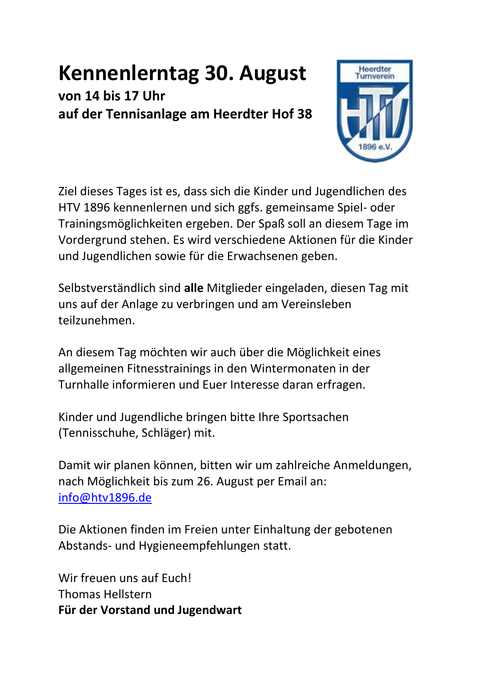## **Kennenlerntag 30. August**

**von 14 bis 17 Uhr auf der Tennisanlage am Heerdter Hof 38**



Ziel dieses Tages ist es, dass sich die Kinder und Jugendlichen des HTV 1896 kennenlernen und sich ggfs. gemeinsame Spiel- oder Trainingsmöglichkeiten ergeben. Der Spaß soll an diesem Tage im Vordergrund stehen. Es wird verschiedene Aktionen für die Kinder und Jugendlichen sowie für die Erwachsenen geben.

Selbstverständlich sind **alle** Mitglieder eingeladen, diesen Tag mit uns auf der Anlage zu verbringen und am Vereinsleben teilzunehmen.

An diesem Tag möchten wir auch über die Möglichkeit eines allgemeinen Fitnesstrainings in den Wintermonaten in der Turnhalle informieren und Euer Interesse daran erfragen.

Kinder und Jugendliche bringen bitte Ihre Sportsachen (Tennisschuhe, Schläger) mit.

Damit wir planen können, bitten wir um zahlreiche Anmeldungen, nach Möglichkeit bis zum 26. August per Email an: [info@htv1896.de](mailto:info@htv1896.de)

Die Aktionen finden im Freien unter Einhaltung der gebotenen Abstands- und Hygieneempfehlungen statt.

Wir freuen uns auf Euch! Thomas Hellstern **Für der Vorstand und Jugendwart**